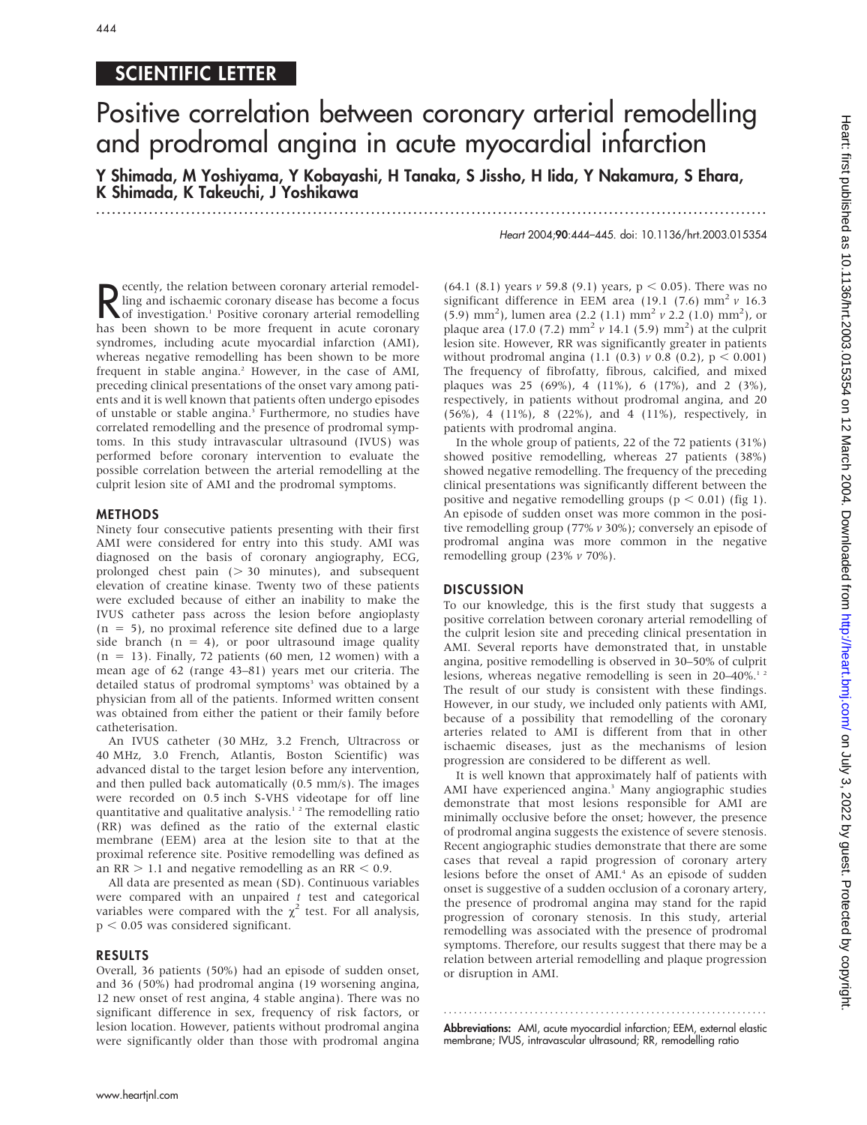# 444

## SCIENTIFIC LETTER

# Positive correlation between coronary arterial remodelling and prodromal angina in acute myocardial infarction

Y Shimada, M Yoshiyama, Y Kobayashi, H Tanaka, S Jissho, H Iida, Y Nakamura, S Ehara, K Shimada, K Takeuchi, J Yoshikawa

.............................................................................................................................. .

Heart 2004;90:444–445. doi: 10.1136/hrt.2003.015354

Recently, the relation between coronary arterial remodel-<br>
ling and ischaemic coronary disease has become a focus<br>
of investigation.<sup>1</sup> Positive coronary arterial remodelling<br>
has been shown to be more frequent in acute co ecently, the relation between coronary arterial remodelling and ischaemic coronary disease has become a focus has been shown to be more frequent in acute coronary syndromes, including acute myocardial infarction (AMI), whereas negative remodelling has been shown to be more frequent in stable angina.<sup>2</sup> However, in the case of AMI, preceding clinical presentations of the onset vary among patients and it is well known that patients often undergo episodes of unstable or stable angina.<sup>3</sup> Furthermore, no studies have correlated remodelling and the presence of prodromal symptoms. In this study intravascular ultrasound (IVUS) was performed before coronary intervention to evaluate the possible correlation between the arterial remodelling at the culprit lesion site of AMI and the prodromal symptoms.

#### METHODS

Ninety four consecutive patients presenting with their first AMI were considered for entry into this study. AMI was diagnosed on the basis of coronary angiography, ECG, prolonged chest pain  $( > 30$  minutes), and subsequent elevation of creatine kinase. Twenty two of these patients were excluded because of either an inability to make the IVUS catheter pass across the lesion before angioplasty  $(n = 5)$ , no proximal reference site defined due to a large side branch  $(n = 4)$ , or poor ultrasound image quality  $(n = 13)$ . Finally, 72 patients (60 men, 12 women) with a mean age of 62 (range 43–81) years met our criteria. The detailed status of prodromal symptoms<sup>3</sup> was obtained by a physician from all of the patients. Informed written consent was obtained from either the patient or their family before catheterisation.

An IVUS catheter (30 MHz, 3.2 French, Ultracross or 40 MHz, 3.0 French, Atlantis, Boston Scientific) was advanced distal to the target lesion before any intervention, and then pulled back automatically (0.5 mm/s). The images were recorded on 0.5 inch S-VHS videotape for off line quantitative and qualitative analysis.<sup>12</sup> The remodelling ratio (RR) was defined as the ratio of the external elastic membrane (EEM) area at the lesion site to that at the proximal reference site. Positive remodelling was defined as an  $RR > 1.1$  and negative remodelling as an  $RR < 0.9$ .

All data are presented as mean (SD). Continuous variables were compared with an unpaired  $t$  test and categorical variables were compared with the  $\chi^2$  test. For all analysis,  $p < 0.05$  was considered significant.

#### RESULTS

Overall, 36 patients (50%) had an episode of sudden onset, and 36 (50%) had prodromal angina (19 worsening angina, 12 new onset of rest angina, 4 stable angina). There was no significant difference in sex, frequency of risk factors, or lesion location. However, patients without prodromal angina were significantly older than those with prodromal angina

(64.1 (8.1) years  $v$  59.8 (9.1) years,  $p < 0.05$ ). There was no significant difference in EEM area (19.1 (7.6) mm<sup>2</sup>  $\nu$  16.3 (5.9) mm<sup>2</sup>), lumen area (2.2 (1.1) mm<sup>2</sup> v 2.2 (1.0) mm<sup>2</sup>), or plaque area (17.0 (7.2)  $\text{mm}^2$  v 14.1 (5.9)  $\text{mm}^2$ ) at the culprit lesion site. However, RR was significantly greater in patients without prodromal angina (1.1 (0.3)  $\nu$  0.8 (0.2),  $p < 0.001$ ) The frequency of fibrofatty, fibrous, calcified, and mixed plaques was 25 (69%), 4 (11%), 6 (17%), and 2 (3%), respectively, in patients without prodromal angina, and 20 (56%), 4 (11%), 8 (22%), and 4 (11%), respectively, in patients with prodromal angina.

In the whole group of patients, 22 of the 72 patients (31%) showed positive remodelling, whereas 27 patients (38%) showed negative remodelling. The frequency of the preceding clinical presentations was significantly different between the positive and negative remodelling groups ( $p < 0.01$ ) (fig 1). An episode of sudden onset was more common in the positive remodelling group (77% v 30%); conversely an episode of prodromal angina was more common in the negative remodelling group (23% v 70%).

### DISCUSSION

To our knowledge, this is the first study that suggests a positive correlation between coronary arterial remodelling of the culprit lesion site and preceding clinical presentation in AMI. Several reports have demonstrated that, in unstable angina, positive remodelling is observed in 30–50% of culprit lesions, whereas negative remodelling is seen in  $20-40\%$ .<sup>12</sup> The result of our study is consistent with these findings. However, in our study, we included only patients with AMI, because of a possibility that remodelling of the coronary arteries related to AMI is different from that in other ischaemic diseases, just as the mechanisms of lesion progression are considered to be different as well.

It is well known that approximately half of patients with AMI have experienced angina.<sup>3</sup> Many angiographic studies demonstrate that most lesions responsible for AMI are minimally occlusive before the onset; however, the presence of prodromal angina suggests the existence of severe stenosis. Recent angiographic studies demonstrate that there are some cases that reveal a rapid progression of coronary artery lesions before the onset of AMI.<sup>4</sup> As an episode of sudden onset is suggestive of a sudden occlusion of a coronary artery, the presence of prodromal angina may stand for the rapid progression of coronary stenosis. In this study, arterial remodelling was associated with the presence of prodromal symptoms. Therefore, our results suggest that there may be a relation between arterial remodelling and plaque progression or disruption in AMI.

Abbreviations: AMI, acute myocardial infarction; EEM, external elastic membrane; IVUS, intravascular ultrasound; RR, remodelling ratio

............................................................... .